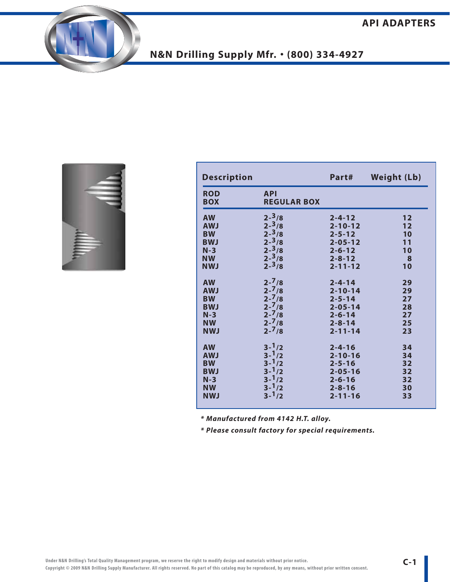# **API ADAPTERS**



#### **N&N Drilling Supply Mfr.** • **(800) 334-4927**



| <b>Description</b>       |                                  | Part#         | <b>Weight (Lb)</b> |
|--------------------------|----------------------------------|---------------|--------------------|
| <b>ROD</b><br><b>BOX</b> | <b>API</b><br><b>REGULAR BOX</b> |               |                    |
| <b>AW</b>                | $2 - \frac{3}{8}$                | $2 - 4 - 12$  | $12 \ \mathrm{$    |
| <b>AWJ</b>               | $2 - \frac{3}{8}$                | $2 - 10 - 12$ | 12                 |
| <b>BW</b>                | $2 - \frac{3}{8}$                | $2 - 5 - 12$  | 10                 |
| <b>BWJ</b>               | $2 - \frac{3}{8}$                | $2 - 05 - 12$ | 11                 |
| $N-3$                    | $2 - \frac{3}{8}$                | $2 - 6 - 12$  | 10                 |
| <b>NW</b>                | $2 - \frac{3}{8}$                | $2 - 8 - 12$  | 8                  |
| <b>NWJ</b>               | $2 - \frac{3}{8}$                | $2 - 11 - 12$ | 10                 |
| <b>AW</b>                | $2 - \frac{7}{8}$                | $2 - 4 - 14$  | 29                 |
| <b>AWJ</b>               | $2 - \frac{7}{8}$                | $2 - 10 - 14$ | 29                 |
| <b>BW</b>                | $2 - \frac{7}{8}$                | $2 - 5 - 14$  | 27                 |
| <b>BWJ</b>               | $2 - \frac{7}{8}$                | $2 - 05 - 14$ | 28                 |
| $N-3$                    | $2 - \frac{7}{8}$                | $2 - 6 - 14$  | 27                 |
| <b>NW</b>                | $2 - \frac{7}{8}$                | $2 - 8 - 14$  | 25                 |
| <b>NWJ</b>               | $2 - \frac{7}{8}$                | $2 - 11 - 14$ | 23                 |
| <b>AW</b>                | $3 - 1/2$                        | $2 - 4 - 16$  | 34                 |
| <b>AWJ</b>               | $3 - \frac{1}{2}$                | $2 - 10 - 16$ | 34                 |
| <b>BW</b>                | $3 - \frac{1}{2}$                | $2 - 5 - 16$  | 32                 |
| <b>BWJ</b>               | $3 - 1/2$                        | $2 - 05 - 16$ | 32                 |
| $N-3$                    | $3 - \frac{1}{2}$                | $2 - 6 - 16$  | 32                 |
| <b>NW</b>                | $3 - \frac{1}{2}$                | $2 - 8 - 16$  | 30                 |
| <b>NWJ</b>               | $3 - 1/2$                        | $2 - 11 - 16$ | 33                 |

*\* Manufactured from 4142 H.T. alloy.*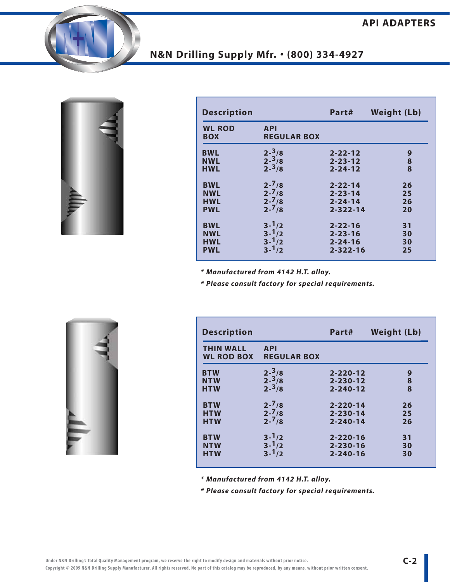

| <b>Description</b>          |                                  | Part#          | <b>Weight (Lb)</b> |
|-----------------------------|----------------------------------|----------------|--------------------|
| <b>WL ROD</b><br><b>BOX</b> | <b>API</b><br><b>REGULAR BOX</b> |                |                    |
| <b>BWL</b>                  | $2 - \frac{3}{8}$                | $2 - 22 - 12$  | 9                  |
| <b>NWL</b>                  | $2 - \frac{3}{8}$                | $2 - 23 - 12$  | 8                  |
| <b>HWL</b>                  | $2 - \frac{3}{8}$                | $2 - 24 - 12$  | 8                  |
| <b>BWL</b>                  | $2 - \frac{7}{8}$                | $2 - 22 - 14$  | 26                 |
| <b>NWL</b>                  | $2 - \frac{7}{8}$                | $2 - 23 - 14$  | 25                 |
| <b>HWL</b>                  | $\frac{1}{2} - \frac{7}{8}$      | $2 - 24 - 14$  | 26                 |
| <b>PWL</b>                  | $2 - \frac{7}{8}$                | $2 - 322 - 14$ | 20                 |
| <b>BWL</b>                  | $3 - \frac{1}{2}$                | $2 - 22 - 16$  | 31                 |
| <b>NWL</b>                  | $3 - 1/2$                        | $2 - 23 - 16$  | 30                 |
| <b>HWL</b>                  | $3 - \frac{1}{2}$                | $2 - 24 - 16$  | 30                 |
| <b>PWL</b>                  | $3 - \frac{1}{2}$                | $2 - 322 - 16$ | 25                 |

*\* Manufactured from 4142 H.T. alloy.*

*\* Please consult factory for special requirements.*



| <b>Description</b>                    |                                  | Part#          | <b>Weight (Lb)</b> |
|---------------------------------------|----------------------------------|----------------|--------------------|
| <b>THIN WALL</b><br><b>WL ROD BOX</b> | <b>API</b><br><b>REGULAR BOX</b> |                |                    |
| <b>BTW</b>                            | $2 - \frac{3}{8}$                | $2 - 220 - 12$ | 9                  |
| <b>NTW</b>                            | $2 - \frac{3}{8}$                | $2 - 230 - 12$ | 8                  |
| <b>HTW</b>                            | $2 - \frac{3}{8}$                | $2 - 240 - 12$ | 8                  |
| <b>BTW</b>                            | $2 - \frac{7}{8}$                | $2 - 220 - 14$ | 26                 |
| <b>HTW</b>                            | $2 - \frac{7}{8}$                | $2 - 230 - 14$ | 25                 |
| <b>HTW</b>                            | $2 - \frac{7}{8}$                | $2 - 240 - 14$ | 26                 |
| <b>BTW</b>                            | $3 - \frac{1}{2}$                | $2 - 220 - 16$ | 31                 |
| <b>NTW</b>                            | $3 - \frac{1}{2}$                | $2 - 230 - 16$ | 30                 |
| <b>HTW</b>                            | $3 - 1/2$                        | $2 - 240 - 16$ | 30                 |

*\* Manufactured from 4142 H.T. alloy.*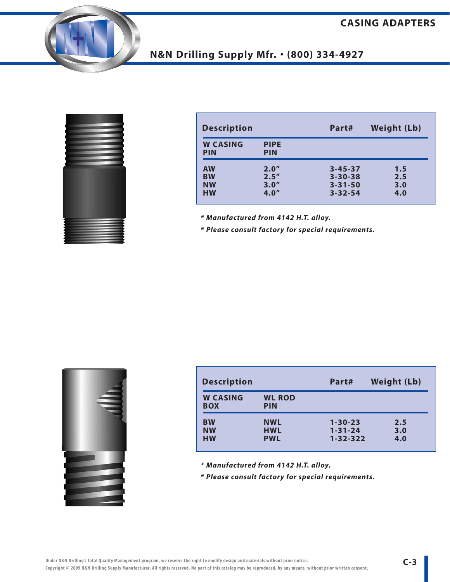|                                           |  | --<br>- 4                |  |
|-------------------------------------------|--|--------------------------|--|
|                                           |  |                          |  |
|                                           |  |                          |  |
|                                           |  | <b>Contract Contract</b> |  |
|                                           |  | --                       |  |
|                                           |  |                          |  |
|                                           |  |                          |  |
|                                           |  |                          |  |
|                                           |  |                          |  |
|                                           |  |                          |  |
|                                           |  |                          |  |
|                                           |  |                          |  |
| ---<br><b>START OF THE OWNER.</b><br>___  |  |                          |  |
| سمع<br><u> Bandari (Bandari Ing</u><br>-- |  |                          |  |
| --<br>a ma<br><b>PERSONAL</b>             |  |                          |  |
|                                           |  |                          |  |

| <b>Description</b>            |                           | Part#         | <b>Weight (Lb)</b> |
|-------------------------------|---------------------------|---------------|--------------------|
| <b>W CASING</b><br><b>PIN</b> | <b>PIPE</b><br><b>PIN</b> |               |                    |
| <b>AW</b>                     | 2.0''                     | $3 - 45 - 37$ | 1.5                |
| <b>BW</b>                     | 2.5''                     | $3 - 30 - 38$ | 2.5                |
| <b>NW</b>                     | 3.0''                     | $3 - 31 - 50$ | 3.0                |
| <b>HW</b>                     | 4.0''                     | $3 - 32 - 54$ | 4.0                |

*\* Manufactured from 4142 H.T. alloy.*

*\* Please consult factory for special requirements.*



| <b>Description</b>            |                      | Part#          | <b>Weight (Lb)</b> |
|-------------------------------|----------------------|----------------|--------------------|
| <b>W CASING</b><br><b>BOX</b> | <b>WL ROD</b><br>PIN |                |                    |
| <b>BW</b>                     | <b>NWL</b>           | $1 - 30 - 23$  | 2.5                |
| <b>NW</b>                     | <b>HWL</b>           | $1 - 31 - 24$  | 3.0                |
| <b>HW</b>                     | <b>PWL</b>           | $1 - 32 - 322$ | 4.0                |

*\* Manufactured from 4142 H.T. alloy.*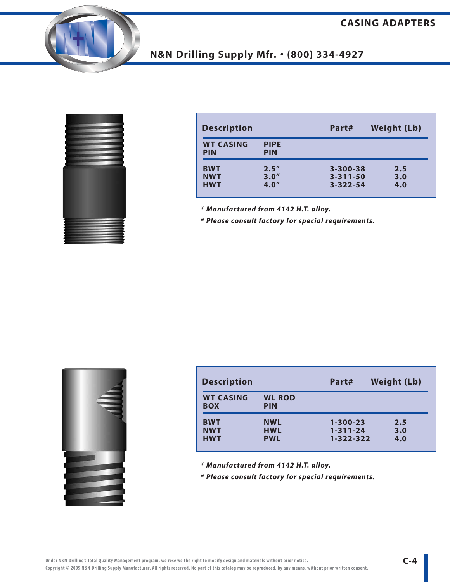

| <b>Description</b>             |                           | Part#          | <b>Weight (Lb)</b> |
|--------------------------------|---------------------------|----------------|--------------------|
| <b>WT CASING</b><br><b>PIN</b> | <b>PIPE</b><br><b>PIN</b> |                |                    |
| <b>BWT</b>                     | 2.5''                     | $3 - 300 - 38$ | 2.5                |
| <b>NWT</b>                     | 3.0''                     | $3 - 311 - 50$ | 3.0                |
| <b>HWT</b>                     | 4.0''                     | $3 - 322 - 54$ | 4.0                |

*\* Manufactured from 4142 H.T. alloy.*

*\* Please consult factory for special requirements.*

| <b>Description</b><br>Part#    |                             |                | <b>Weight (Lb)</b> |
|--------------------------------|-----------------------------|----------------|--------------------|
| <b>WT CASING</b><br><b>BOX</b> | <b>WL ROD</b><br><b>PIN</b> |                |                    |
| <b>BWT</b>                     | <b>NWL</b>                  | $1 - 300 - 23$ | 2.5                |
| <b>NWT</b>                     | <b>HWL</b>                  | $1 - 311 - 24$ | 3.0                |
| <b>HWT</b>                     | <b>PWL</b>                  | 1-322-322      | 4.0                |

*\* Manufactured from 4142 H.T. alloy.*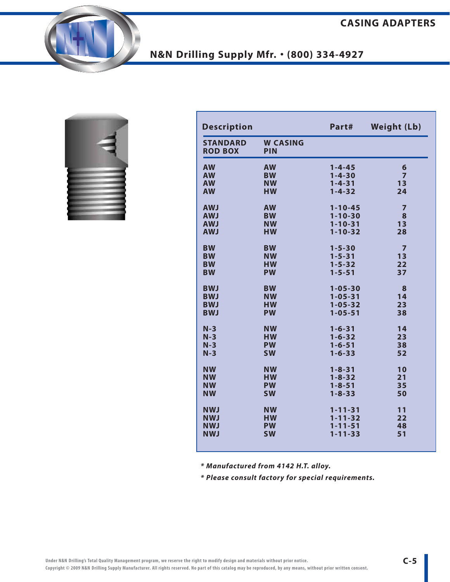

| <b>Description</b> |                 | Part#         | <b>Weight (Lb)</b> |
|--------------------|-----------------|---------------|--------------------|
| <b>STANDARD</b>    | <b>W CASING</b> |               |                    |
| <b>ROD BOX</b>     | <b>PIN</b>      |               |                    |
| <b>AW</b>          | <b>AW</b>       | $1 - 4 - 45$  | 6                  |
| <b>AW</b>          | <b>BW</b>       | $1 - 4 - 30$  | $\overline{7}$     |
| <b>AW</b>          | <b>NW</b>       | $1 - 4 - 31$  | 13                 |
| <b>AW</b>          | <b>HW</b>       | $1 - 4 - 32$  | 24                 |
| <b>AWJ</b>         | <b>AW</b>       | $1 - 10 - 45$ | $\overline{7}$     |
| <b>AWJ</b>         | <b>BW</b>       | $1 - 10 - 30$ | 8                  |
| <b>AWJ</b>         | <b>NW</b>       | $1 - 10 - 31$ | 13                 |
| <b>AWJ</b>         | <b>HW</b>       | $1 - 10 - 32$ | 28                 |
| <b>BW</b>          | <b>BW</b>       | $1 - 5 - 30$  | $\overline{7}$     |
| <b>BW</b>          | <b>NW</b>       | $1 - 5 - 31$  | 13                 |
| <b>BW</b>          | <b>HW</b>       | $1 - 5 - 32$  | 22                 |
| <b>BW</b>          | <b>PW</b>       | $1 - 5 - 51$  | 37                 |
| <b>BWJ</b>         | <b>BW</b>       | $1 - 05 - 30$ | 8                  |
| <b>BWJ</b>         | <b>NW</b>       | $1 - 05 - 31$ | 14                 |
| <b>BWJ</b>         | <b>HW</b>       | $1 - 05 - 32$ | 2 <sub>3</sub>     |
| <b>BWJ</b>         | <b>PW</b>       | $1 - 05 - 51$ | 38                 |
| $N-3$              | <b>NW</b>       | $1 - 6 - 31$  | 14                 |
| $N-3$              | <b>HW</b>       | $1 - 6 - 32$  | 2 <sub>3</sub>     |
| $N-3$              | <b>PW</b>       | $1 - 6 - 51$  | 38                 |
| $N-3$              | <b>SW</b>       | $1 - 6 - 33$  | 52                 |
| <b>NW</b>          | <b>NW</b>       | $1 - 8 - 31$  | 10                 |
| <b>NW</b>          | <b>HW</b>       | $1 - 8 - 32$  | 21                 |
| <b>NW</b>          | <b>PW</b>       | $1 - 8 - 51$  | 35                 |
| <b>NW</b>          | <b>SW</b>       | $1 - 8 - 33$  | 50                 |
| <b>NWJ</b>         | <b>NW</b>       | $1 - 11 - 31$ | 11                 |
| <b>NWJ</b>         | <b>HW</b>       | $1 - 11 - 32$ | 22                 |
| <b>NWJ</b>         | <b>PW</b>       | $1 - 11 - 51$ | 48                 |
| <b>NWJ</b>         | <b>SW</b>       | $1 - 11 - 33$ | 51                 |

*\* Manufactured from 4142 H.T. alloy.*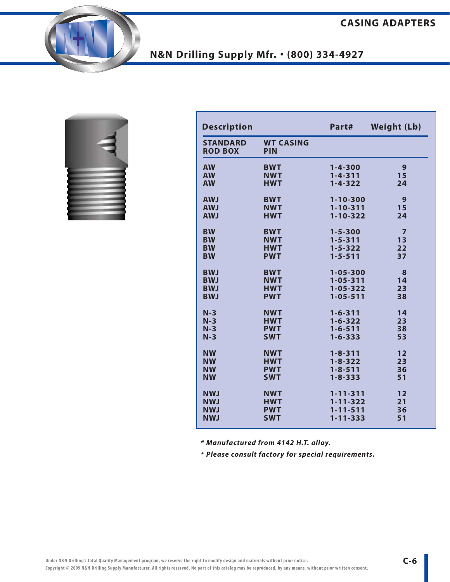

| <b>Description</b>                |                                | Part#          | <b>Weight (Lb)</b> |
|-----------------------------------|--------------------------------|----------------|--------------------|
| <b>STANDARD</b><br><b>ROD BOX</b> | <b>WT CASING</b><br><b>PIN</b> |                |                    |
| <b>AW</b>                         | <b>BWT</b>                     | $1 - 4 - 300$  | 9                  |
| <b>AW</b>                         | <b>NWT</b>                     | $1 - 4 - 311$  | 15                 |
| <b>AW</b>                         | <b>HWT</b>                     | $1 - 4 - 322$  | 24                 |
| <b>AWJ</b>                        | <b>BWT</b>                     | $1 - 10 - 300$ | 9                  |
| <b>AWJ</b>                        | <b>NWT</b>                     | $1 - 10 - 311$ | 15                 |
| <b>AWJ</b>                        | <b>HWT</b>                     | $1 - 10 - 322$ | 24                 |
| <b>BW</b>                         | <b>BWT</b>                     | $1 - 5 - 300$  | $\overline{7}$     |
| <b>BW</b>                         | <b>NWT</b>                     | $1 - 5 - 311$  | 13                 |
| <b>BW</b>                         | <b>HWT</b>                     | $1 - 5 - 322$  | 22                 |
| <b>BW</b>                         | <b>PWT</b>                     | $1 - 5 - 511$  | 37                 |
| <b>BWJ</b>                        | <b>BWT</b>                     | $1 - 05 - 300$ | 8                  |
| <b>BWJ</b>                        | <b>NWT</b>                     | $1 - 05 - 311$ | 14                 |
| <b>BWJ</b>                        | <b>HWT</b>                     | $1 - 05 - 322$ | 2 <sub>3</sub>     |
| <b>BWJ</b>                        | <b>PWT</b>                     | $1 - 05 - 511$ | 38                 |
| $N-3$                             | <b>NWT</b>                     | $1 - 6 - 311$  | 14                 |
| $N-3$                             | <b>HWT</b>                     | $1 - 6 - 322$  | 23                 |
| $N-3$                             | <b>PWT</b>                     | $1 - 6 - 511$  | 38                 |
| $N-3$                             | <b>SWT</b>                     | $1 - 6 - 333$  | 53                 |
| <b>NW</b>                         | <b>NWT</b>                     | $1 - 8 - 311$  | 12                 |
| <b>NW</b>                         | <b>HWT</b>                     | $1 - 8 - 322$  | 2 <sub>3</sub>     |
| <b>NW</b>                         | <b>PWT</b>                     | $1 - 8 - 511$  | 36                 |
| <b>NW</b>                         | <b>SWT</b>                     | $1 - 8 - 333$  | 51                 |
| <b>NWJ</b>                        | <b>NWT</b>                     | $1 - 11 - 311$ | 12                 |
| <b>NWJ</b>                        | <b>HWT</b>                     | $1 - 11 - 322$ | 21                 |
| <b>NWJ</b>                        | <b>PWT</b>                     | $1 - 11 - 511$ | 36                 |
| <b>NWJ</b>                        | <b>SWT</b>                     | $1 - 11 - 333$ | 51                 |

*\* Manufactured from 4142 H.T. alloy.*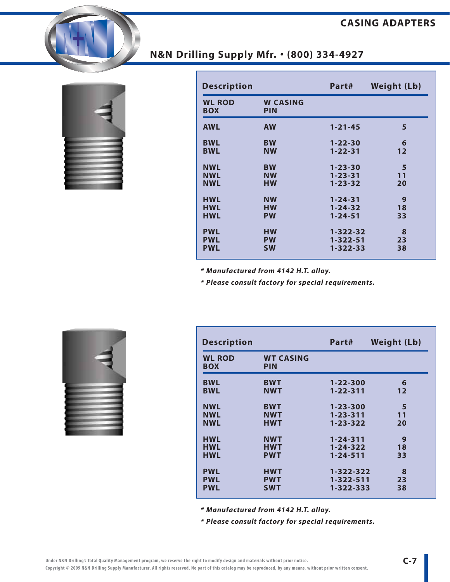



| <b>Description</b>          |                               | Part#          | <b>Weight (Lb)</b> |  |
|-----------------------------|-------------------------------|----------------|--------------------|--|
| <b>WL ROD</b><br><b>BOX</b> | <b>W CASING</b><br><b>PIN</b> |                |                    |  |
| <b>AWL</b>                  | <b>AW</b>                     | $1 - 21 - 45$  | 5                  |  |
| <b>BWL</b>                  | <b>BW</b>                     | $1 - 22 - 30$  | 6                  |  |
| <b>BWL</b>                  | <b>NW</b>                     | $1 - 22 - 31$  | 12                 |  |
| <b>NWL</b>                  | <b>BW</b>                     | $1 - 23 - 30$  | 5                  |  |
| <b>NWL</b>                  | <b>NW</b>                     | $1 - 23 - 31$  | 11                 |  |
| <b>NWL</b>                  | <b>HW</b>                     | $1 - 23 - 32$  | 20                 |  |
| <b>HWL</b>                  | <b>NW</b>                     | $1 - 24 - 31$  | 9                  |  |
| <b>HWL</b>                  | <b>HW</b>                     | $1 - 24 - 32$  | 18                 |  |
| <b>HWL</b>                  | <b>PW</b>                     | $1 - 24 - 51$  | 33                 |  |
| <b>PWL</b>                  | <b>HW</b>                     | $1 - 322 - 32$ | 8                  |  |
| <b>PWL</b>                  | <b>PW</b>                     | $1 - 322 - 51$ | 23                 |  |
| <b>PWL</b>                  | <b>SW</b>                     | $1 - 322 - 33$ | 38                 |  |

*\* Manufactured from 4142 H.T. alloy.*

*\* Please consult factory for special requirements.*



| <b>Description</b>          |                                | Part#          | Weight (Lb) |
|-----------------------------|--------------------------------|----------------|-------------|
| <b>WL ROD</b><br><b>BOX</b> | <b>WT CASING</b><br><b>PIN</b> |                |             |
| <b>BWL</b>                  | <b>BWT</b>                     | $1 - 22 - 300$ | 6           |
| <b>BWL</b>                  | <b>NWT</b>                     | $1 - 22 - 311$ | 12          |
| <b>NWL</b>                  | <b>BWT</b>                     | $1 - 23 - 300$ | 5           |
| <b>NWL</b>                  | <b>NWT</b>                     | $1 - 23 - 311$ | 11          |
| NWL                         | <b>HWT</b>                     | $1 - 23 - 322$ | 20          |
| <b>HWL</b>                  | <b>NWT</b>                     | $1 - 24 - 311$ | 9           |
| <b>HWL</b>                  | <b>HWT</b>                     | 1-24-322       | 18          |
| <b>HWL</b>                  | <b>PWT</b>                     | $1 - 24 - 511$ | 33          |
| <b>PWL</b>                  | <b>HWT</b>                     | 1-322-322      | 8           |
| <b>PWL</b>                  | <b>PWT</b>                     | 1-322-511      | 23          |
| <b>PWL</b>                  | <b>SWT</b>                     | 1-322-333      | 38          |

*\* Manufactured from 4142 H.T. alloy.*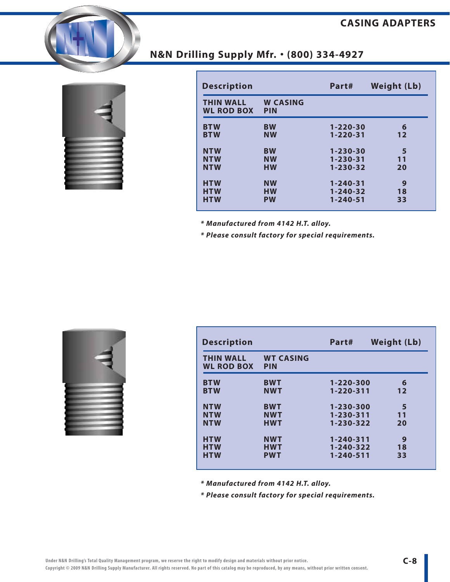



|  |  | <b>N&amp;N Drilling Supply Mfr. • (800) 334-4927</b> |
|--|--|------------------------------------------------------|
|  |  |                                                      |
|  |  |                                                      |

| <b>Description</b>                    |                               | Part#          | <b>Weight (Lb)</b> |
|---------------------------------------|-------------------------------|----------------|--------------------|
| <b>THIN WALL</b><br><b>WL ROD BOX</b> | <b>W CASING</b><br><b>PIN</b> |                |                    |
| <b>BTW</b>                            | <b>BW</b>                     | $1 - 220 - 30$ | 6                  |
| <b>BTW</b>                            | <b>NW</b>                     | $1 - 220 - 31$ | $12 \ \mathsf{ }$  |
| <b>NTW</b>                            | <b>BW</b>                     | $1 - 230 - 30$ | 5                  |
| <b>NTW</b>                            | <b>NW</b>                     | $1 - 230 - 31$ | 11                 |
| <b>NTW</b>                            | <b>HW</b>                     | $1 - 230 - 32$ | 20                 |
| <b>HTW</b>                            | <b>NW</b>                     | $1 - 240 - 31$ | 9                  |
| <b>HTW</b>                            | <b>HW</b>                     | $1 - 240 - 32$ | 18                 |
| <b>HTW</b>                            | <b>PW</b>                     | $1 - 240 - 51$ | 33                 |

*\* Manufactured from 4142 H.T. alloy.*

*\* Please consult factory for special requirements.*



| <b>Description</b>                    |                                | Part#           | Weight (Lb) |
|---------------------------------------|--------------------------------|-----------------|-------------|
| <b>THIN WALL</b><br><b>WL ROD BOX</b> | <b>WT CASING</b><br><b>PIN</b> |                 |             |
| <b>BTW</b>                            | <b>BWT</b>                     | 1-220-300       | 6           |
| <b>BTW</b>                            | <b>NWT</b>                     | $1 - 220 - 311$ | 12          |
| <b>NTW</b>                            | <b>BWT</b>                     | $1 - 230 - 300$ | 5           |
| <b>NTW</b>                            | <b>NWT</b>                     | 1-230-311       | 11          |
| <b>NTW</b>                            | <b>HWT</b>                     | 1-230-322       | 20          |
| <b>HTW</b>                            | <b>NWT</b>                     | 1-240-311       | 9           |
| <b>HTW</b>                            | <b>HWT</b>                     | $1 - 240 - 322$ | 18          |
| <b>HTW</b>                            | <b>PWT</b>                     | $1 - 240 - 511$ | 33          |

*\* Manufactured from 4142 H.T. alloy.*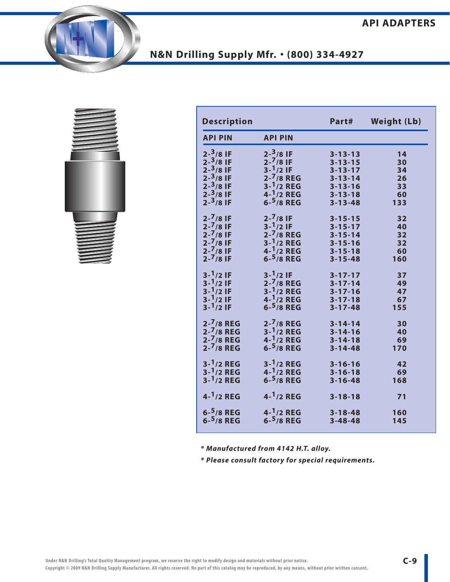

| <b>Description</b>    |                          | Part#         | <b>Weight (Lb)</b> |
|-----------------------|--------------------------|---------------|--------------------|
| <b>API PIN</b>        | <b>API PIN</b>           |               |                    |
| $2 - \frac{3}{8}$ IF  | $2 - \frac{3}{8}$ IF     | $3 - 13 - 13$ | 14                 |
| $2 - \frac{3}{8}$ IF  | $2 - \frac{7}{8}$ IF     | $3 - 13 - 15$ | 30                 |
| $2 - \frac{3}{8}$ IF  | $3 - \frac{1}{2}$ IF     | $3 - 13 - 17$ | 34                 |
| $2 - \frac{3}{8}$ IF  | $2 - \frac{7}{8}$ REG    | $3 - 13 - 14$ | 26                 |
| $2 - \frac{3}{8}$ IF  | $3 - \frac{1}{2}$ REG    | $3 - 13 - 16$ | 33                 |
| $2 - \frac{3}{8}$ IF  | $4 - \frac{1}{2}$ REG    | $3 - 13 - 18$ | 60                 |
| $2 - \frac{3}{8}$ IF  | $6 - 5/8$ REG            | $3 - 13 - 48$ | 133                |
| $2 - \frac{7}{8}$ IF  | $2 - \frac{7}{8}$ IF     | $3 - 15 - 15$ | 32                 |
| $2 - \frac{7}{8}$ IF  | $3 - \frac{1}{2}$ IF     | $3 - 15 - 17$ | 40                 |
| $2 - \frac{7}{8}$ IF  | $2 - \frac{7}{8}$ REG    | $3 - 15 - 14$ | 32                 |
| $2 - \frac{7}{8}$ IF  | $3 - \frac{1}{2}$ REG    | $3 - 15 - 16$ | 32                 |
| $2 - \frac{7}{8}$ IF  | $4 - \frac{1}{2}$ REG    | $3 - 15 - 18$ | 60                 |
| $2 - \frac{7}{8}$ IF  | $6 - 5/8$ REG            | $3 - 15 - 48$ | 160                |
| $3 - 1/2$ IF          | $3 - \frac{1}{2}$ IF     | $3 - 17 - 17$ | 37                 |
| $3 - 1/2$ IF          | $2 - \frac{7}{8}$ REG    | $3 - 17 - 14$ | 49                 |
| $3 - \frac{1}{2}$ IF  | $3 - \frac{1}{2}$ /2 REG | $3 - 17 - 16$ | 47                 |
| $3 - \frac{1}{2}$ IF  | $4 - \frac{1}{2}$ REG    | $3 - 17 - 18$ | 67                 |
| $3 - \frac{1}{2}$ IF  | $6 - 5/8$ REG            | $3 - 17 - 48$ | 155                |
| $2 - \frac{7}{8}$ REG | $2 - \frac{7}{8}$ REG    | $3 - 14 - 14$ | 30                 |
| $2 - \frac{7}{8}$ REG | $3 - \frac{1}{2}$ REG    | $3 - 14 - 16$ | 40                 |
| $2 - \frac{7}{8}$ REG | $4 - \frac{1}{2}$ REG    | $3 - 14 - 18$ | 69                 |
| $2 - \frac{7}{8}$ REG | 6- $5/8$ REG             | $3 - 14 - 48$ | 170                |
| $3 - \frac{1}{2}$ REG | $3 - \frac{1}{2}$ REG    | $3 - 16 - 16$ | 42                 |
| $3 - \frac{1}{2}$ REG | $4 - \frac{1}{2}$ REG    | $3 - 16 - 18$ | 69                 |
| $3 - 1/2$ REG         | $6 - 5/8$ REG            | $3 - 16 - 48$ | 168                |
| $4 - \frac{1}{2}$ REG | $4 - \frac{1}{2}$ REG    | $3 - 18 - 18$ | 71                 |
| $6 - 5/8$ REG         | $4 - \frac{1}{2}$ REG    | $3 - 18 - 48$ | 160                |
| $6 - 5/8$ REG         | $6 - 5/8$ REG            | $3 - 48 - 48$ | 145                |

*\* Manufactured from 4142 H.T. alloy.*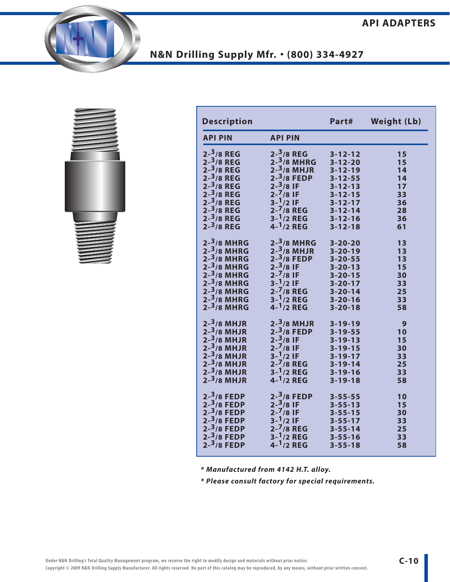

| <b>Description</b>      |                        | Part#         | <b>Weight (Lb)</b> |
|-------------------------|------------------------|---------------|--------------------|
| <b>API PIN</b>          | <b>API PIN</b>         |               |                    |
| $2 - \frac{3}{8}$ REG   | $2 - \frac{3}{8}$ REG  | $3 - 12 - 12$ | 15                 |
| $2 - \frac{3}{8}$ REG   | $2 - \frac{3}{8}$ MHRG | $3 - 12 - 20$ | 15                 |
| $2 - \frac{3}{8}$ REG   | $2 - \frac{3}{8}$ MHJR | $3 - 12 - 19$ | 14                 |
| $2 - \frac{3}{8}$ REG   | $2 - \frac{3}{8}$ FEDP | $3 - 12 - 55$ | 14                 |
| $2 - \frac{3}{8}$ REG   | $2 - \frac{3}{8}$ IF   | $3 - 12 - 13$ | 17                 |
| $2 - \frac{3}{8}$ REG   | $2 - \frac{7}{8}$ IF   | $3 - 12 - 15$ | 33                 |
| $2 - \frac{3}{8}$ REG   | $3 - \frac{1}{2}$ IF   | $3 - 12 - 17$ | 36                 |
| $2 - \frac{3}{8}$ REG   | $2 - \frac{7}{8}$ REG  | $3 - 12 - 14$ | 28                 |
| $2 - \frac{3}{8}$ REG   | $3 - \frac{1}{2}$ REG  | $3 - 12 - 16$ | 36                 |
| $2 - \frac{3}{8}$ REG   | $4 - \frac{1}{2}$ REG  | $3 - 12 - 18$ | 61                 |
| 2- <sup>3</sup> /8 MHRG | $2 - \frac{3}{8}$ MHRG | $3 - 20 - 20$ | 13                 |
| 2- <sup>3</sup> /8 MHRG | $2 - \frac{3}{8}$ MHJR | $3 - 20 - 19$ | 13                 |
| 2- <sup>3</sup> /8 MHRG | $2 - \frac{3}{8}$ FEDP | $3 - 20 - 55$ | 13                 |
| 2- <sup>3</sup> /8 MHRG | $2 - \frac{3}{8}$ IF   | $3 - 20 - 13$ | 15                 |
| $2 - \frac{3}{8}$ MHRG  | $2 - \frac{7}{8}$ IF   | $3 - 20 - 15$ | 30                 |
| 2- <sup>3</sup> /8 MHRG | $3 - 1/2$ IF           | $3 - 20 - 17$ | 33                 |
| 2- <sup>3</sup> /8 MHRG | $2 - \frac{7}{8}$ REG  | $3 - 20 - 14$ | 25                 |
| 2- <sup>3</sup> /8 MHRG | $3 - \frac{1}{2}$ REG  | $3 - 20 - 16$ | 33                 |
| $2 - \frac{3}{8}$ MHRG  | $4 - 1/2$ REG          | $3 - 20 - 18$ | 58                 |
| $2 - \frac{3}{8}$ MHJR  | $2 - \frac{3}{8}$ MHJR | $3 - 19 - 19$ | 9                  |
| $2 - \frac{3}{8}$ MHJR  | $2 - \frac{3}{8}$ FEDP | $3 - 19 - 55$ | 10                 |
| $2 - \frac{3}{8}$ MHJR  | $2 - \frac{3}{8}$ IF   | $3 - 19 - 13$ | 15                 |
| 2- <sup>3</sup> /8 MHJR | $2 - \frac{7}{8}$ IF   | $3 - 19 - 15$ | 30                 |
| $2 - \frac{3}{8}$ MHJR  | $3 - \frac{1}{2}$ IF   | $3 - 19 - 17$ | 33                 |
| $2 - \frac{3}{8}$ MHJR  | $2 - \frac{7}{8}$ REG  | $3 - 19 - 14$ | 25                 |
| 2- <sup>3</sup> /8 MHJR | $3 - \frac{1}{2}$ REG  | $3 - 19 - 16$ | 33                 |
| $2 - \frac{3}{8}$ MHJR  | $4 - 1/2$ REG          | $3 - 19 - 18$ | 58                 |
| $2 - \frac{3}{8}$ FEDP  | $2 - \frac{3}{8}$ FEDP | $3 - 55 - 55$ | 10                 |
| $2 - \frac{3}{8}$ FEDP  | $2 - \frac{3}{8}$ IF   | $3 - 55 - 13$ | 15                 |
| $2 - \frac{3}{8}$ FEDP  | $2 - \frac{7}{8}$ IF   | $3 - 55 - 15$ | 30                 |
| 2- <sup>3</sup> /8 FEDP | $3 - \frac{1}{2}$ IF   | $3 - 55 - 17$ | 33                 |
| $2 - \frac{3}{8}$ FEDP  | $2 - \frac{7}{8}$ REG  | $3 - 55 - 14$ | 25                 |
| $2 - \frac{3}{8}$ FEDP  | $3 - \frac{1}{2}$ REG  | $3 - 55 - 16$ | 33                 |
| $2 - \frac{3}{8}$ FEDP  | $4 - 1/2$ REG          | $3 - 55 - 18$ | 58                 |

*\* Manufactured from 4142 H.T. alloy.*